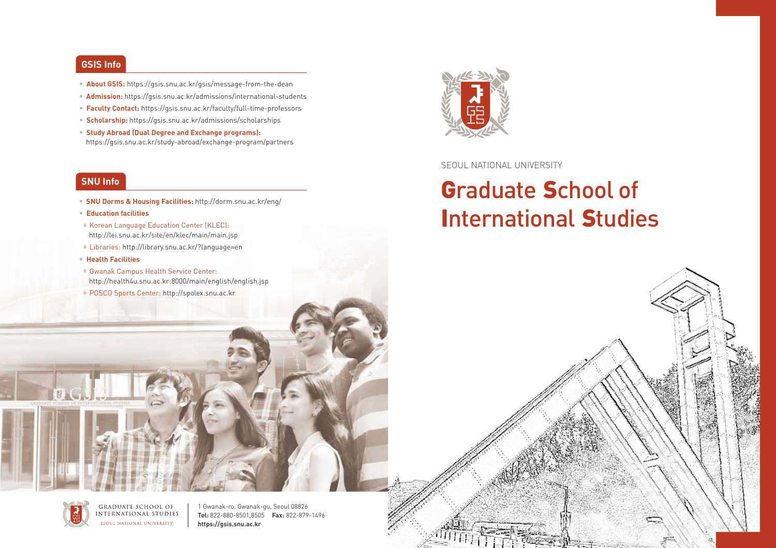#### **GSIS Info**

- **About GSIS:** https://gsis.snu.ac.kr/gsis/message-from-the-dean
- **Admission:** https://gsis.snu.ac.kr/admissions/international-students
- **Faculty Contact:** https://gsis.snu.ac.kr/faculty/full-time-professors
- **Scholarship:** https://gsis.snu.ac.kr/admissions/scholarships
- **Study Abroad (Dual Degree and Exchange programs):**  https://gsis.snu.ac.kr/study-abroad/exchange-program/partners

#### **SNU Info**

- **SNU Dorms & Housing Facilities:** http://dorm.snu.ac.kr/eng/
- **Education facilities**
- » Korean Language Education Center (KLEC): http://lei.snu.ac.kr/site/en/klec/main/main.jsp
- » Libraries: http://library.snu.ac.kr/?language=en
- **Health Facilities**
- » Gwanak Campus Health Service Center: http://health4u.snu.ac.kr:8000/main/english/english.jsp
- » POSCO Sports Center: http://spolex.snu.ac.kr



#### SEOUL NATIONAL UNIVERSITY

# Graduate School of International Studies

https://gsis.snu.ac.kr



GRADUATE SCHOOL OF **INTERNATIONAL STUDIES** SEQUE NATIONAL UNIVERSITY

1 Gwanak-ro, Gwanak-gu, Seoul 08826 **Tel:** 822-880-8501,8505 **Fax:** 822-879-1496 **https://gsis.snu.ac.kr**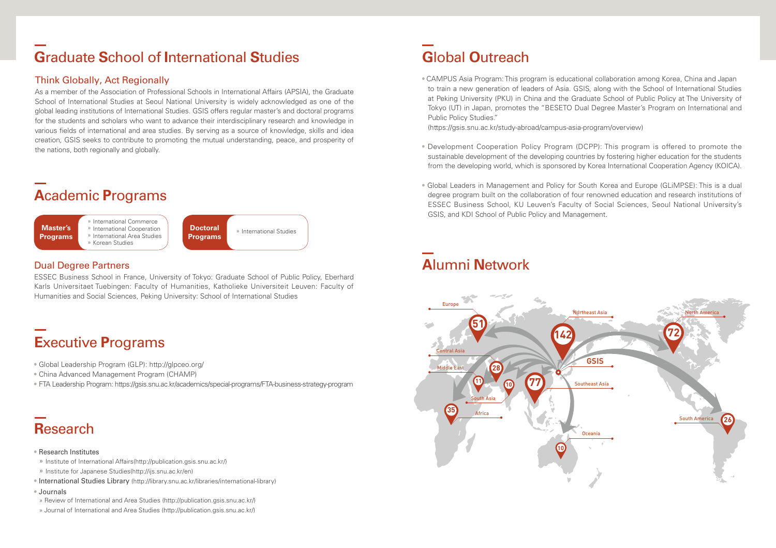### **G**raduate **S**chool of **I**nternational **S**tudies

#### Think Globally, Act Regionally

As a member of the Association of Professional Schools in International Affairs (APSIA), the Graduate School of International Studies at Seoul National University is widely acknowledged as one of the global leading institutions of International Studies. GSIS offers regular master's and doctoral programs for the students and scholars who want to advance their interdisciplinary research and knowledge in various fields of international and area studies. By serving as a source of knowledge, skills and idea creation, GSIS seeks to contribute to promoting the mutual understanding, peace, and prosperity of the nations, both regionally and globally.

### **A**cademic **P**rograms



#### Dual Degree Partners

ESSEC Business School in France, University of Tokyo: Graduate School of Public Policy, Eberhard Karls Universitaet Tuebingen: Faculty of Humanities, Katholieke Universiteit Leuven: Faculty of Humanities and Social Sciences, Peking University: School of International Studies

### **E**xecutive **P**rograms

- Global Leadership Program (GLP): http://glpceo.org/
- China Advanced Management Program (CHAMP)
- FTA Leadership Program: https://gsis.snu.ac.kr/academics/special-programs/FTA-business-strategy-program

## **R**esearch

#### • Research Institutes

- » Institute of International Affairs(http://publication.gsis.snu.ac.kr/)
- » Institute for Japanese Studies(http://ijs.snu.ac.kr/en)
- International Studies Library (http://library.snu.ac.kr/libraries/international-library)
- Journals
- » Review of International and Area Studies (http://publication.gsis.snu.ac.kr/)
- » Journal of International and Area Studies (http://publication.gsis.snu.ac.kr/)

## **G**lobal **O**utreach

• CAMPUS Asia Program: This program is educational collaboration among Korea, China and Japan to train a new generation of leaders of Asia. GSIS, along with the School of International Studies at Peking University (PKU) in China and the Graduate School of Public Policy at The University of Tokyo (UT) in Japan, promotes the "BESETO Dual Degree Master's Program on International and Public Policy Studies."

(https://gsis.snu.ac.kr/study-abroad/campus-asia-program/overview)

- Development Cooperation Policy Program (DCPP): This program is offered to promote the sustainable development of the developing countries by fostering higher education for the students from the developing world, which is sponsored by Korea International Cooperation Agency (KOICA).
- Global Leaders in Management and Policy for South Korea and Europe (GLiMPSE): This is a dual degree program built on the collaboration of four renowned education and research institutions of ESSEC Business School, KU Leuven's Faculty of Social Sciences, Seoul National University's GSIS, and KDI School of Public Policy and Management.

# **A**lumni **N**etwork

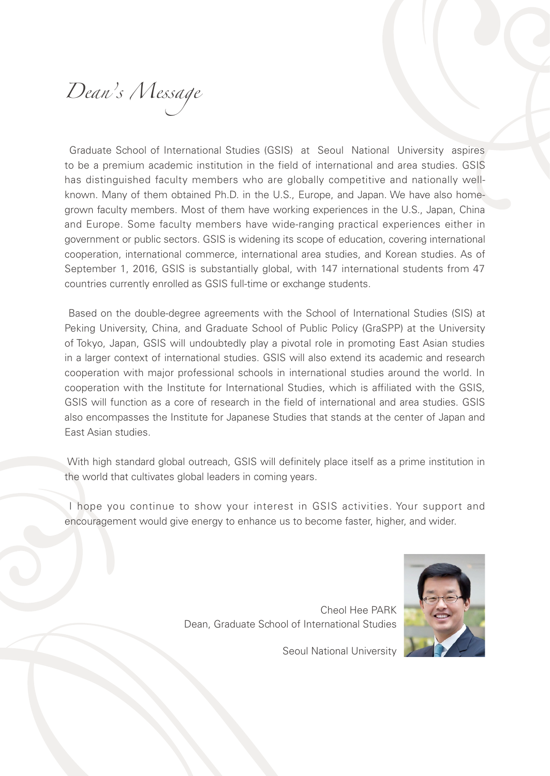*Dean's Message* 

Graduate School of International Studies (GSIS) at Seoul National University aspires to be a premium academic institution in the field of international and area studies. GSIS has distinguished faculty members who are globally competitive and nationally wellknown. Many of them obtained Ph.D. in the U.S., Europe, and Japan. We have also homegrown faculty members. Most of them have working experiences in the U.S., Japan, China and Europe. Some faculty members have wide-ranging practical experiences either in government or public sectors. GSIS is widening its scope of education, covering international cooperation, international commerce, international area studies, and Korean studies. As of September 1, 2016, GSIS is substantially global, with 147 international students from 47 countries currently enrolled as GSIS full-time or exchange students.

 Based on the double-degree agreements with the School of International Studies (SIS) at Peking University, China, and Graduate School of Public Policy (GraSPP) at the University of Tokyo, Japan, GSIS will undoubtedly play a pivotal role in promoting East Asian studies in a larger context of international studies. GSIS will also extend its academic and research cooperation with major professional schools in international studies around the world. In cooperation with the Institute for International Studies, which is affiliated with the GSIS, GSIS will function as a core of research in the field of international and area studies. GSIS also encompasses the Institute for Japanese Studies that stands at the center of Japan and East Asian studies.

 With high standard global outreach, GSIS will definitely place itself as a prime institution in the world that cultivates global leaders in coming years.

 I hope you continue to show your interest in GSIS activities. Your support and encouragement would give energy to enhance us to become faster, higher, and wider.



Cheol Hee PARK Dean, Graduate School of International Studies

Seoul National University